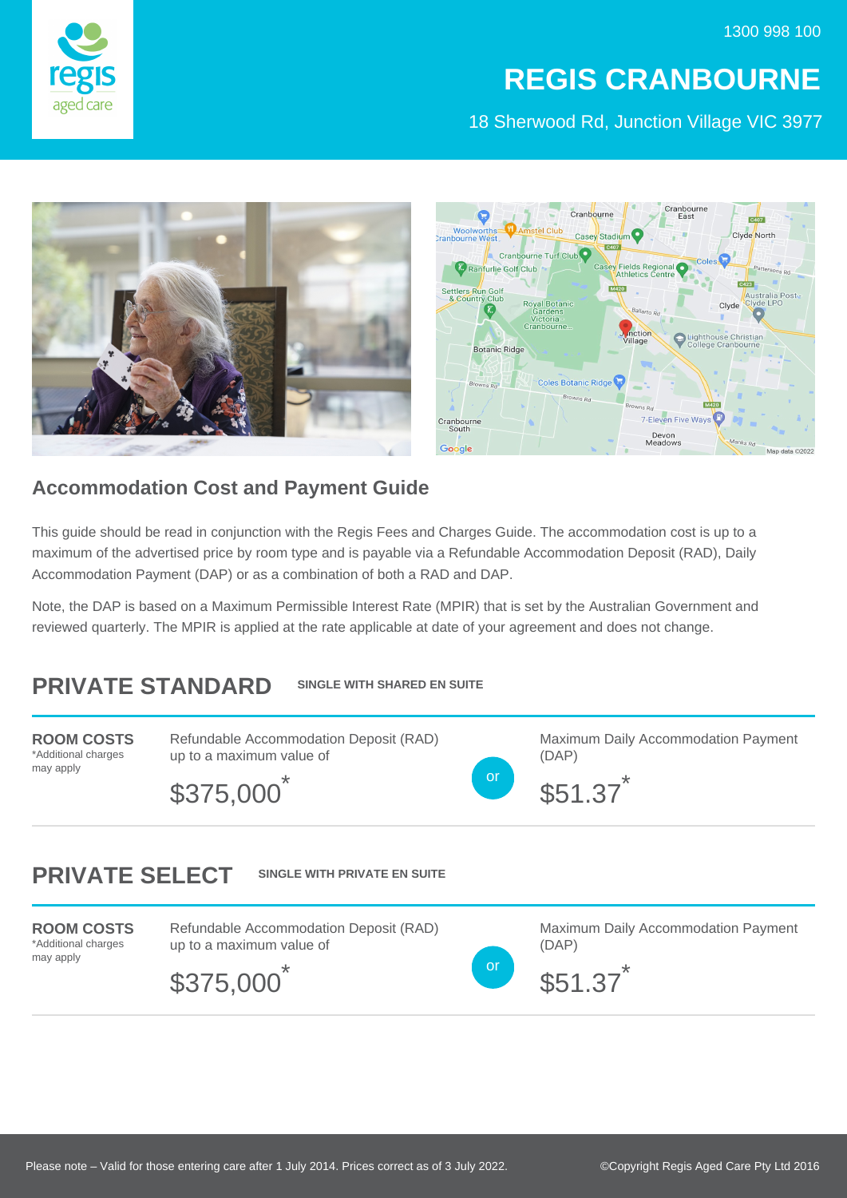

## **REGIS CRANBOURNE**

18 Sherwood Rd, Junction Village VIC 3977



## **Accommodation Cost and Payment Guide**

This guide should be read in conjunction with the Regis Fees and Charges Guide. The accommodation cost is up to a maximum of the advertised price by room type and is payable via a Refundable Accommodation Deposit (RAD), Daily Accommodation Payment (DAP) or as a combination of both a RAD and DAP.

Note, the DAP is based on a Maximum Permissible Interest Rate (MPIR) that is set by the Australian Government and reviewed quarterly. The MPIR is applied at the rate applicable at date of your agreement and does not change.

## **PRIVATE STANDARD SINGLE WITH SHARED EN SUITE**